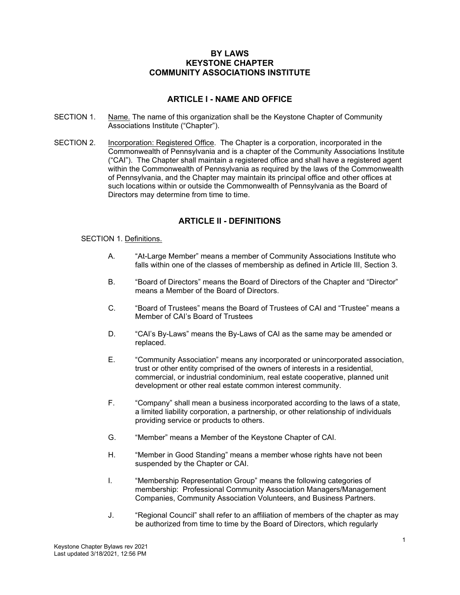## **BY LAWS KEYSTONE CHAPTER COMMUNITY ASSOCIATIONS INSTITUTE**

# **ARTICLE I - NAME AND OFFICE**

- SECTION 1. Name. The name of this organization shall be the Keystone Chapter of Community Associations Institute ("Chapter").
- SECTION 2. Incorporation: Registered Office. The Chapter is a corporation, incorporated in the Commonwealth of Pennsylvania and is a chapter of the Community Associations Institute ("CAI"). The Chapter shall maintain a registered office and shall have a registered agent within the Commonwealth of Pennsylvania as required by the laws of the Commonwealth of Pennsylvania, and the Chapter may maintain its principal office and other offices at such locations within or outside the Commonwealth of Pennsylvania as the Board of Directors may determine from time to time.

# **ARTICLE II - DEFINITIONS**

### SECTION 1. Definitions.

- A. "At-Large Member" means a member of Community Associations Institute who falls within one of the classes of membership as defined in Article III, Section 3.
- B. "Board of Directors" means the Board of Directors of the Chapter and "Director" means a Member of the Board of Directors.
- C. "Board of Trustees" means the Board of Trustees of CAI and "Trustee" means a Member of CAI's Board of Trustees
- D. "CAI's By-Laws" means the By-Laws of CAI as the same may be amended or replaced.
- E. "Community Association" means any incorporated or unincorporated association, trust or other entity comprised of the owners of interests in a residential, commercial, or industrial condominium, real estate cooperative, planned unit development or other real estate common interest community.
- F. "Company" shall mean a business incorporated according to the laws of a state, a limited liability corporation, a partnership, or other relationship of individuals providing service or products to others.
- G. "Member" means a Member of the Keystone Chapter of CAI.
- H. "Member in Good Standing" means a member whose rights have not been suspended by the Chapter or CAI.
- I. "Membership Representation Group" means the following categories of membership: Professional Community Association Managers/Management Companies, Community Association Volunteers, and Business Partners.
- J. "Regional Council" shall refer to an affiliation of members of the chapter as may be authorized from time to time by the Board of Directors, which regularly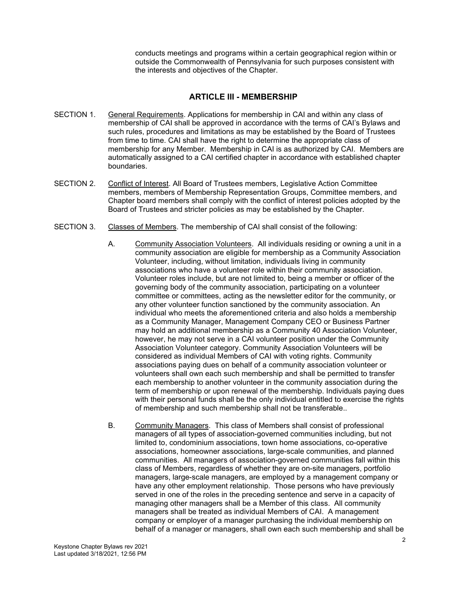conducts meetings and programs within a certain geographical region within or outside the Commonwealth of Pennsylvania for such purposes consistent with the interests and objectives of the Chapter.

# **ARTICLE III - MEMBERSHIP**

- SECTION 1. General Requirements. Applications for membership in CAI and within any class of membership of CAI shall be approved in accordance with the terms of CAI's Bylaws and such rules, procedures and limitations as may be established by the Board of Trustees from time to time. CAI shall have the right to determine the appropriate class of membership for any Member. Membership in CAI is as authorized by CAI. Members are automatically assigned to a CAI certified chapter in accordance with established chapter boundaries.
- SECTION 2. Conflict of Interest. All Board of Trustees members, Legislative Action Committee members, members of Membership Representation Groups, Committee members, and Chapter board members shall comply with the conflict of interest policies adopted by the Board of Trustees and stricter policies as may be established by the Chapter.
- SECTION 3. Classes of Members. The membership of CAI shall consist of the following:
	- A. Community Association Volunteers. All individuals residing or owning a unit in a community association are eligible for membership as a Community Association Volunteer, including, without limitation, individuals living in community associations who have a volunteer role within their community association. Volunteer roles include, but are not limited to, being a member or officer of the governing body of the community association, participating on a volunteer committee or committees, acting as the newsletter editor for the community, or any other volunteer function sanctioned by the community association. An individual who meets the aforementioned criteria and also holds a membership as a Community Manager, Management Company CEO or Business Partner may hold an additional membership as a Community 40 Association Volunteer, however, he may not serve in a CAI volunteer position under the Community Association Volunteer category. Community Association Volunteers will be considered as individual Members of CAI with voting rights. Community associations paying dues on behalf of a community association volunteer or volunteers shall own each such membership and shall be permitted to transfer each membership to another volunteer in the community association during the term of membership or upon renewal of the membership. Individuals paying dues with their personal funds shall be the only individual entitled to exercise the rights of membership and such membership shall not be transferable..
	- B. Community Managers. This class of Members shall consist of professional managers of all types of association-governed communities including, but not limited to, condominium associations, town home associations, co-operative associations, homeowner associations, large-scale communities, and planned communities. All managers of association-governed communities fall within this class of Members, regardless of whether they are on-site managers, portfolio managers, large-scale managers, are employed by a management company or have any other employment relationship. Those persons who have previously served in one of the roles in the preceding sentence and serve in a capacity of managing other managers shall be a Member of this class. All community managers shall be treated as individual Members of CAI. A management company or employer of a manager purchasing the individual membership on behalf of a manager or managers, shall own each such membership and shall be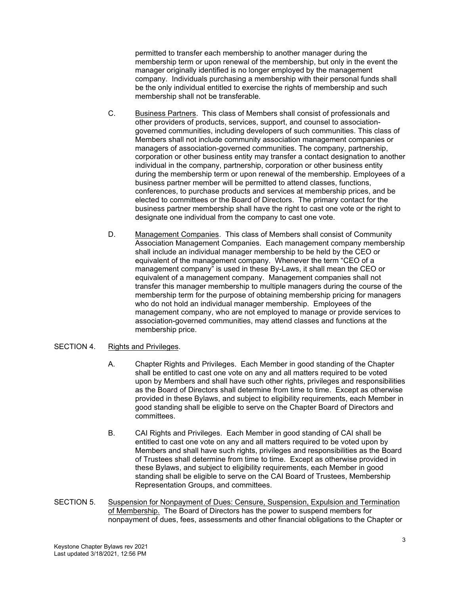permitted to transfer each membership to another manager during the membership term or upon renewal of the membership, but only in the event the manager originally identified is no longer employed by the management company. Individuals purchasing a membership with their personal funds shall be the only individual entitled to exercise the rights of membership and such membership shall not be transferable.

- C. Business Partners. This class of Members shall consist of professionals and other providers of products, services, support, and counsel to associationgoverned communities, including developers of such communities. This class of Members shall not include community association management companies or managers of association-governed communities. The company, partnership, corporation or other business entity may transfer a contact designation to another individual in the company, partnership, corporation or other business entity during the membership term or upon renewal of the membership. Employees of a business partner member will be permitted to attend classes, functions, conferences, to purchase products and services at membership prices, and be elected to committees or the Board of Directors. The primary contact for the business partner membership shall have the right to cast one vote or the right to designate one individual from the company to cast one vote.
- D. Management Companies. This class of Members shall consist of Community Association Management Companies. Each management company membership shall include an individual manager membership to be held by the CEO or equivalent of the management company. Whenever the term "CEO of a management company" is used in these By-Laws, it shall mean the CEO or equivalent of a management company. Management companies shall not transfer this manager membership to multiple managers during the course of the membership term for the purpose of obtaining membership pricing for managers who do not hold an individual manager membership. Employees of the management company, who are not employed to manage or provide services to association-governed communities, may attend classes and functions at the membership price.

### SECTION 4. Rights and Privileges.

- A. Chapter Rights and Privileges. Each Member in good standing of the Chapter shall be entitled to cast one vote on any and all matters required to be voted upon by Members and shall have such other rights, privileges and responsibilities as the Board of Directors shall determine from time to time. Except as otherwise provided in these Bylaws, and subject to eligibility requirements, each Member in good standing shall be eligible to serve on the Chapter Board of Directors and committees.
- B. CAI Rights and Privileges. Each Member in good standing of CAI shall be entitled to cast one vote on any and all matters required to be voted upon by Members and shall have such rights, privileges and responsibilities as the Board of Trustees shall determine from time to time. Except as otherwise provided in these Bylaws, and subject to eligibility requirements, each Member in good standing shall be eligible to serve on the CAI Board of Trustees, Membership Representation Groups, and committees.
- SECTION 5. Suspension for Nonpayment of Dues: Censure, Suspension, Expulsion and Termination of Membership. The Board of Directors has the power to suspend members for nonpayment of dues, fees, assessments and other financial obligations to the Chapter or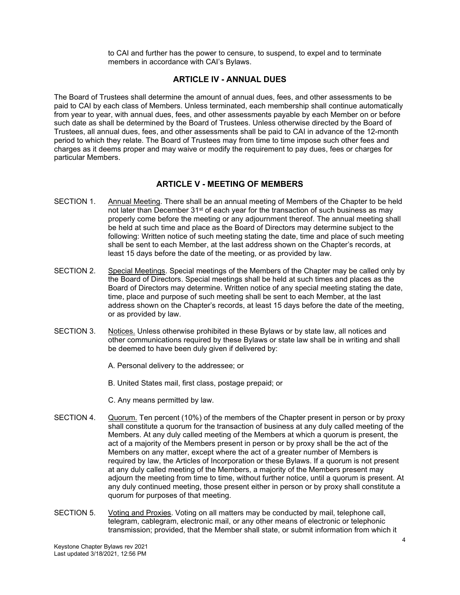to CAI and further has the power to censure, to suspend, to expel and to terminate members in accordance with CAI's Bylaws.

### **ARTICLE IV - ANNUAL DUES**

The Board of Trustees shall determine the amount of annual dues, fees, and other assessments to be paid to CAI by each class of Members. Unless terminated, each membership shall continue automatically from year to year, with annual dues, fees, and other assessments payable by each Member on or before such date as shall be determined by the Board of Trustees. Unless otherwise directed by the Board of Trustees, all annual dues, fees, and other assessments shall be paid to CAI in advance of the 12-month period to which they relate. The Board of Trustees may from time to time impose such other fees and charges as it deems proper and may waive or modify the requirement to pay dues, fees or charges for particular Members.

## **ARTICLE V - MEETING OF MEMBERS**

- SECTION 1. Annual Meeting. There shall be an annual meeting of Members of the Chapter to be held not later than December 31<sup>st</sup> of each year for the transaction of such business as may properly come before the meeting or any adjournment thereof. The annual meeting shall be held at such time and place as the Board of Directors may determine subject to the following: Written notice of such meeting stating the date, time and place of such meeting shall be sent to each Member, at the last address shown on the Chapter's records, at least 15 days before the date of the meeting, or as provided by law.
- SECTION 2. Special Meetings. Special meetings of the Members of the Chapter may be called only by the Board of Directors. Special meetings shall be held at such times and places as the Board of Directors may determine. Written notice of any special meeting stating the date, time, place and purpose of such meeting shall be sent to each Member, at the last address shown on the Chapter's records, at least 15 days before the date of the meeting, or as provided by law.
- SECTION 3. Notices. Unless otherwise prohibited in these Bylaws or by state law, all notices and other communications required by these Bylaws or state law shall be in writing and shall be deemed to have been duly given if delivered by:
	- A. Personal delivery to the addressee; or
	- B. United States mail, first class, postage prepaid; or
	- C. Any means permitted by law.
- SECTION 4. Quorum. Ten percent (10%) of the members of the Chapter present in person or by proxy shall constitute a quorum for the transaction of business at any duly called meeting of the Members. At any duly called meeting of the Members at which a quorum is present, the act of a majority of the Members present in person or by proxy shall be the act of the Members on any matter, except where the act of a greater number of Members is required by law, the Articles of Incorporation or these Bylaws. If a quorum is not present at any duly called meeting of the Members, a majority of the Members present may adjourn the meeting from time to time, without further notice, until a quorum is present. At any duly continued meeting, those present either in person or by proxy shall constitute a quorum for purposes of that meeting.
- SECTION 5. Voting and Proxies. Voting on all matters may be conducted by mail, telephone call, telegram, cablegram, electronic mail, or any other means of electronic or telephonic transmission; provided, that the Member shall state, or submit information from which it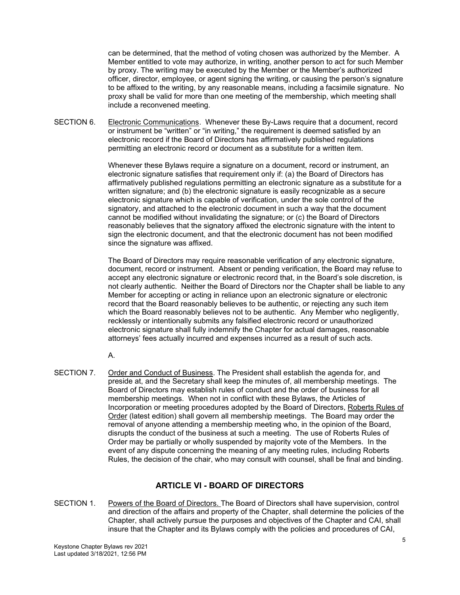can be determined, that the method of voting chosen was authorized by the Member. A Member entitled to vote may authorize, in writing, another person to act for such Member by proxy. The writing may be executed by the Member or the Member's authorized officer, director, employee, or agent signing the writing, or causing the person's signature to be affixed to the writing, by any reasonable means, including a facsimile signature. No proxy shall be valid for more than one meeting of the membership, which meeting shall include a reconvened meeting.

SECTION 6. Electronic Communications. Whenever these By-Laws require that a document, record or instrument be "written" or "in writing," the requirement is deemed satisfied by an electronic record if the Board of Directors has affirmatively published regulations permitting an electronic record or document as a substitute for a written item.

> Whenever these Bylaws require a signature on a document, record or instrument, an electronic signature satisfies that requirement only if: (a) the Board of Directors has affirmatively published regulations permitting an electronic signature as a substitute for a written signature; and (b) the electronic signature is easily recognizable as a secure electronic signature which is capable of verification, under the sole control of the signatory, and attached to the electronic document in such a way that the document cannot be modified without invalidating the signature; or (c) the Board of Directors reasonably believes that the signatory affixed the electronic signature with the intent to sign the electronic document, and that the electronic document has not been modified since the signature was affixed.

> The Board of Directors may require reasonable verification of any electronic signature, document, record or instrument. Absent or pending verification, the Board may refuse to accept any electronic signature or electronic record that, in the Board's sole discretion, is not clearly authentic. Neither the Board of Directors nor the Chapter shall be liable to any Member for accepting or acting in reliance upon an electronic signature or electronic record that the Board reasonably believes to be authentic, or rejecting any such item which the Board reasonably believes not to be authentic. Any Member who negligently, recklessly or intentionally submits any falsified electronic record or unauthorized electronic signature shall fully indemnify the Chapter for actual damages, reasonable attorneys' fees actually incurred and expenses incurred as a result of such acts.

A.

SECTION 7. Order and Conduct of Business. The President shall establish the agenda for, and preside at, and the Secretary shall keep the minutes of, all membership meetings. The Board of Directors may establish rules of conduct and the order of business for all membership meetings. When not in conflict with these Bylaws, the Articles of Incorporation or meeting procedures adopted by the Board of Directors, Roberts Rules of Order (latest edition) shall govern all membership meetings. The Board may order the removal of anyone attending a membership meeting who, in the opinion of the Board, disrupts the conduct of the business at such a meeting. The use of Roberts Rules of Order may be partially or wholly suspended by majority vote of the Members. In the event of any dispute concerning the meaning of any meeting rules, including Roberts Rules, the decision of the chair, who may consult with counsel, shall be final and binding.

# **ARTICLE VI - BOARD OF DIRECTORS**

SECTION 1. Powers of the Board of Directors. The Board of Directors shall have supervision, control and direction of the affairs and property of the Chapter, shall determine the policies of the Chapter, shall actively pursue the purposes and objectives of the Chapter and CAI, shall insure that the Chapter and its Bylaws comply with the policies and procedures of CAI,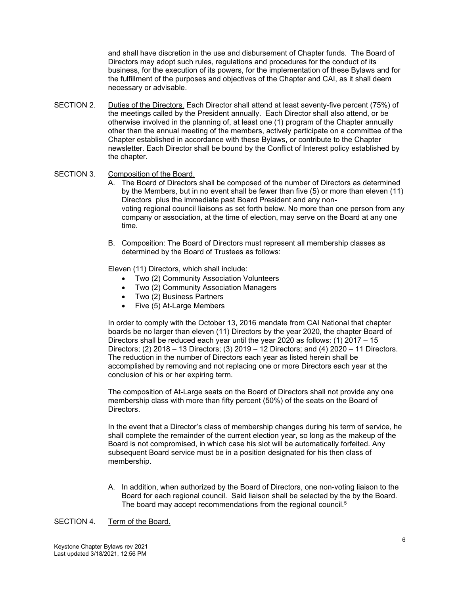and shall have discretion in the use and disbursement of Chapter funds. The Board of Directors may adopt such rules, regulations and procedures for the conduct of its business, for the execution of its powers, for the implementation of these Bylaws and for the fulfillment of the purposes and objectives of the Chapter and CAI, as it shall deem necessary or advisable.

SECTION 2. Duties of the Directors. Each Director shall attend at least seventy-five percent (75%) of the meetings called by the President annually. Each Director shall also attend, or be otherwise involved in the planning of, at least one (1) program of the Chapter annually other than the annual meeting of the members, actively participate on a committee of the Chapter established in accordance with these Bylaws, or contribute to the Chapter newsletter. Each Director shall be bound by the Conflict of Interest policy established by the chapter.

### SECTION 3. Composition of the Board.

A. The Board of Directors shall be composed of the number of Directors as determined by the Members, but in no event shall be fewer than five (5) or more than eleven (11) Directors plus the immediate past Board President and any nonvoting regional council liaisons as set forth below. No more than one person from any company or association, at the time of election, may serve on the Board at any one time.

B. Composition: The Board of Directors must represent all membership classes as determined by the Board of Trustees as follows:

Eleven (11) Directors, which shall include:

- Two (2) Community Association Volunteers
- Two (2) Community Association Managers
- Two (2) Business Partners
- Five (5) At-Large Members

In order to comply with the October 13, 2016 mandate from CAI National that chapter boards be no larger than eleven (11) Directors by the year 2020, the chapter Board of Directors shall be reduced each year until the year 2020 as follows: (1) 2017 – 15 Directors; (2) 2018 – 13 Directors; (3) 2019 – 12 Directors; and (4) 2020 – 11 Directors. The reduction in the number of Directors each year as listed herein shall be accomplished by removing and not replacing one or more Directors each year at the conclusion of his or her expiring term.

The composition of At-Large seats on the Board of Directors shall not provide any one membership class with more than fifty percent (50%) of the seats on the Board of Directors.

In the event that a Director's class of membership changes during his term of service, he shall complete the remainder of the current election year, so long as the makeup of the Board is not compromised, in which case his slot will be automatically forfeited. Any subsequent Board service must be in a position designated for his then class of membership.

A. In addition, when authorized by the Board of Directors, one non-voting liaison to the Board for each regional council. Said liaison shall be selected by the by the Board. The board may accept recommendations from the regional council.<sup>5</sup>

#### SECTION 4. Term of the Board.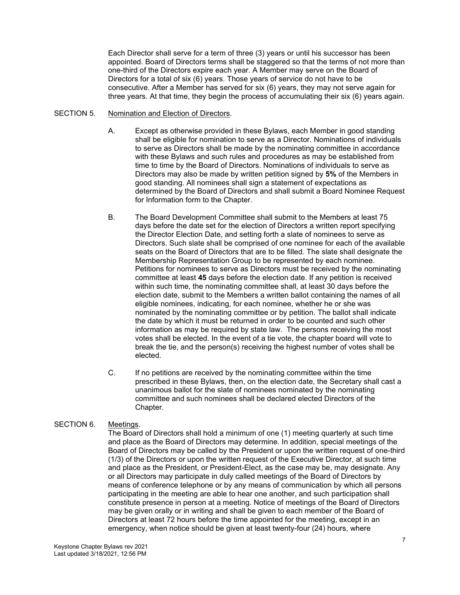Each Director shall serve for a term of three (3) years or until his successor has been appointed. Board of Directors terms shall be staggered so that the terms of not more than one-third of the Directors expire each year. A Member may serve on the Board of Directors for a total of six (6) years. Those years of service do not have to be consecutive. After a Member has served for six (6) years, they may not serve again for three years. At that time, they begin the process of accumulating their six (6) years again.

### SECTION 5. Nomination and Election of Directors.

- A. Except as otherwise provided in these Bylaws, each Member in good standing shall be eligible for nomination to serve as a Director. Nominations of individuals to serve as Directors shall be made by the nominating committee in accordance with these Bylaws and such rules and procedures as may be established from time to time by the Board of Directors. Nominations of individuals to serve as Directors may also be made by written petition signed by **5%** of the Members in good standing. All nominees shall sign a statement of expectations as determined by the Board of Directors and shall submit a Board Nominee Request for Information form to the Chapter.
- B. The Board Development Committee shall submit to the Members at least 75 days before the date set for the election of Directors a written report specifying the Director Election Date, and setting forth a slate of nominees to serve as Directors. Such slate shall be comprised of one nominee for each of the available seats on the Board of Directors that are to be filled. The slate shall designate the Membership Representation Group to be represented by each nominee. Petitions for nominees to serve as Directors must be received by the nominating committee at least **45** days before the election date. If any petition is received within such time, the nominating committee shall, at least 30 days before the election date, submit to the Members a written ballot containing the names of all eligible nominees, indicating, for each nominee, whether he or she was nominated by the nominating committee or by petition. The ballot shall indicate the date by which it must be returned in order to be counted and such other information as may be required by state law. The persons receiving the most votes shall be elected. In the event of a tie vote, the chapter board will vote to break the tie, and the person(s) receiving the highest number of votes shall be elected.
- C. If no petitions are received by the nominating committee within the time prescribed in these Bylaws, then, on the election date, the Secretary shall cast a unanimous ballot for the slate of nominees nominated by the nominating committee and such nominees shall be declared elected Directors of the Chapter.

### SECTION 6. Meetings.

The Board of Directors shall hold a minimum of one (1) meeting quarterly at such time and place as the Board of Directors may determine. In addition, special meetings of the Board of Directors may be called by the President or upon the written request of one-third (1/3) of the Directors or upon the written request of the Executive Director, at such time and place as the President, or President-Elect, as the case may be, may designate. Any or all Directors may participate in duly called meetings of the Board of Directors by means of conference telephone or by any means of communication by which all persons participating in the meeting are able to hear one another, and such participation shall constitute presence in person at a meeting. Notice of meetings of the Board of Directors may be given orally or in writing and shall be given to each member of the Board of Directors at least 72 hours before the time appointed for the meeting, except in an emergency, when notice should be given at least twenty-four (24) hours, where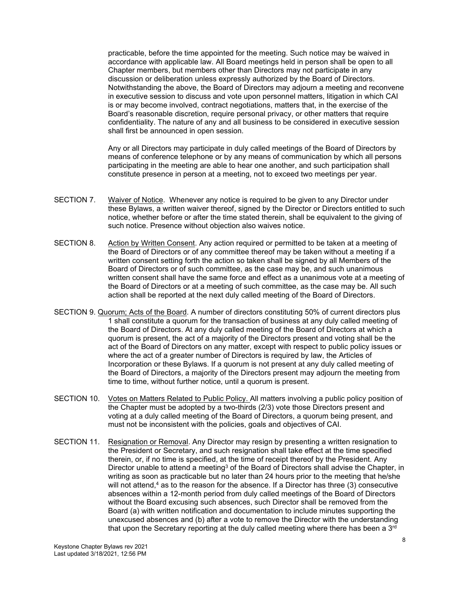practicable, before the time appointed for the meeting. Such notice may be waived in accordance with applicable law. All Board meetings held in person shall be open to all Chapter members, but members other than Directors may not participate in any discussion or deliberation unless expressly authorized by the Board of Directors. Notwithstanding the above, the Board of Directors may adjourn a meeting and reconvene in executive session to discuss and vote upon personnel matters, litigation in which CAI is or may become involved, contract negotiations, matters that, in the exercise of the Board's reasonable discretion, require personal privacy, or other matters that require confidentiality. The nature of any and all business to be considered in executive session shall first be announced in open session.

Any or all Directors may participate in duly called meetings of the Board of Directors by means of conference telephone or by any means of communication by which all persons participating in the meeting are able to hear one another, and such participation shall constitute presence in person at a meeting, not to exceed two meetings per year.

- SECTION 7. Waiver of Notice. Whenever any notice is required to be given to any Director under these Bylaws, a written waiver thereof, signed by the Director or Directors entitled to such notice, whether before or after the time stated therein, shall be equivalent to the giving of such notice. Presence without objection also waives notice.
- SECTION 8. Action by Written Consent. Any action required or permitted to be taken at a meeting of the Board of Directors or of any committee thereof may be taken without a meeting if a written consent setting forth the action so taken shall be signed by all Members of the Board of Directors or of such committee, as the case may be, and such unanimous written consent shall have the same force and effect as a unanimous vote at a meeting of the Board of Directors or at a meeting of such committee, as the case may be. All such action shall be reported at the next duly called meeting of the Board of Directors.
- SECTION 9. Quorum; Acts of the Board. A number of directors constituting 50% of current directors plus 1 shall constitute a quorum for the transaction of business at any duly called meeting of the Board of Directors. At any duly called meeting of the Board of Directors at which a quorum is present, the act of a majority of the Directors present and voting shall be the act of the Board of Directors on any matter, except with respect to public policy issues or where the act of a greater number of Directors is required by law, the Articles of Incorporation or these Bylaws. If a quorum is not present at any duly called meeting of the Board of Directors, a majority of the Directors present may adjourn the meeting from time to time, without further notice, until a quorum is present.
- SECTION 10. Votes on Matters Related to Public Policy. All matters involving a public policy position of the Chapter must be adopted by a two-thirds (2/3) vote those Directors present and voting at a duly called meeting of the Board of Directors, a quorum being present, and must not be inconsistent with the policies, goals and objectives of CAI.
- SECTION 11. Resignation or Removal. Any Director may resign by presenting a written resignation to the President or Secretary, and such resignation shall take effect at the time specified therein, or, if no time is specified, at the time of receipt thereof by the President. Any Director unable to attend a meeting<sup>3</sup> of the Board of Directors shall advise the Chapter, in writing as soon as practicable but no later than 24 hours prior to the meeting that he/she will not attend, $4$  as to the reason for the absence. If a Director has three (3) consecutive absences within a 12-month period from duly called meetings of the Board of Directors without the Board excusing such absences, such Director shall be removed from the Board (a) with written notification and documentation to include minutes supporting the unexcused absences and (b) after a vote to remove the Director with the understanding that upon the Secretary reporting at the duly called meeting where there has been a  $3<sup>rd</sup>$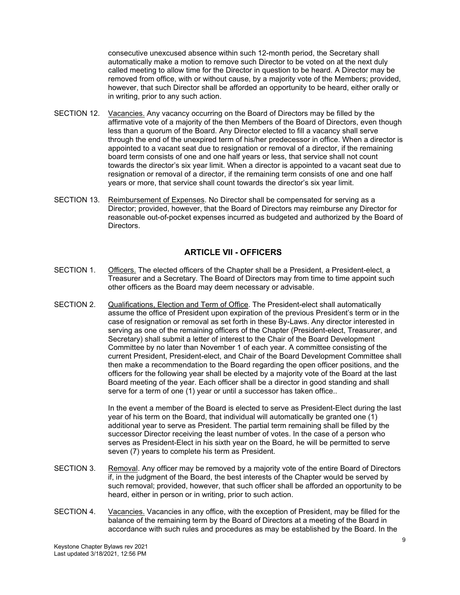consecutive unexcused absence within such 12-month period, the Secretary shall automatically make a motion to remove such Director to be voted on at the next duly called meeting to allow time for the Director in question to be heard. A Director may be removed from office, with or without cause, by a majority vote of the Members; provided, however, that such Director shall be afforded an opportunity to be heard, either orally or in writing, prior to any such action.

- SECTION 12. Vacancies. Any vacancy occurring on the Board of Directors may be filled by the affirmative vote of a majority of the then Members of the Board of Directors, even though less than a quorum of the Board. Any Director elected to fill a vacancy shall serve through the end of the unexpired term of his/her predecessor in office. When a director is appointed to a vacant seat due to resignation or removal of a director, if the remaining board term consists of one and one half years or less, that service shall not count towards the director's six year limit. When a director is appointed to a vacant seat due to resignation or removal of a director, if the remaining term consists of one and one half years or more, that service shall count towards the director's six year limit.
- SECTION 13. Reimbursement of Expenses. No Director shall be compensated for serving as a Director; provided, however, that the Board of Directors may reimburse any Director for reasonable out-of-pocket expenses incurred as budgeted and authorized by the Board of **Directors**

## **ARTICLE VII - OFFICERS**

- SECTION 1. Officers. The elected officers of the Chapter shall be a President, a President-elect, a Treasurer and a Secretary. The Board of Directors may from time to time appoint such other officers as the Board may deem necessary or advisable.
- SECTION 2. Qualifications, Election and Term of Office. The President-elect shall automatically assume the office of President upon expiration of the previous President's term or in the case of resignation or removal as set forth in these By-Laws. Any director interested in serving as one of the remaining officers of the Chapter (President-elect, Treasurer, and Secretary) shall submit a letter of interest to the Chair of the Board Development Committee by no later than November 1 of each year. A committee consisting of the current President, President-elect, and Chair of the Board Development Committee shall then make a recommendation to the Board regarding the open officer positions, and the officers for the following year shall be elected by a majority vote of the Board at the last Board meeting of the year. Each officer shall be a director in good standing and shall serve for a term of one (1) year or until a successor has taken office..

In the event a member of the Board is elected to serve as President-Elect during the last year of his term on the Board, that individual will automatically be granted one (1) additional year to serve as President. The partial term remaining shall be filled by the successor Director receiving the least number of votes. In the case of a person who serves as President-Elect in his sixth year on the Board, he will be permitted to serve seven (7) years to complete his term as President.

- SECTION 3. Removal. Any officer may be removed by a majority vote of the entire Board of Directors if, in the judgment of the Board, the best interests of the Chapter would be served by such removal; provided, however, that such officer shall be afforded an opportunity to be heard, either in person or in writing, prior to such action.
- SECTION 4. Vacancies. Vacancies in any office, with the exception of President, may be filled for the balance of the remaining term by the Board of Directors at a meeting of the Board in accordance with such rules and procedures as may be established by the Board. In the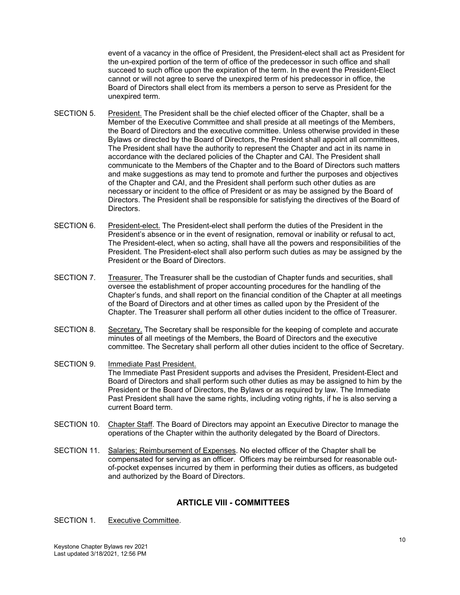event of a vacancy in the office of President, the President-elect shall act as President for the un-expired portion of the term of office of the predecessor in such office and shall succeed to such office upon the expiration of the term. In the event the President-Elect cannot or will not agree to serve the unexpired term of his predecessor in office, the Board of Directors shall elect from its members a person to serve as President for the unexpired term.

- SECTION 5. President. The President shall be the chief elected officer of the Chapter, shall be a Member of the Executive Committee and shall preside at all meetings of the Members, the Board of Directors and the executive committee. Unless otherwise provided in these Bylaws or directed by the Board of Directors, the President shall appoint all committees, The President shall have the authority to represent the Chapter and act in its name in accordance with the declared policies of the Chapter and CAI. The President shall communicate to the Members of the Chapter and to the Board of Directors such matters and make suggestions as may tend to promote and further the purposes and objectives of the Chapter and CAI, and the President shall perform such other duties as are necessary or incident to the office of President or as may be assigned by the Board of Directors. The President shall be responsible for satisfying the directives of the Board of Directors.
- SECTION 6. President-elect. The President-elect shall perform the duties of the President in the President's absence or in the event of resignation, removal or inability or refusal to act, The President-elect, when so acting, shall have all the powers and responsibilities of the President. The President-elect shall also perform such duties as may be assigned by the President or the Board of Directors.
- SECTION 7. Treasurer. The Treasurer shall be the custodian of Chapter funds and securities, shall oversee the establishment of proper accounting procedures for the handling of the Chapter's funds, and shall report on the financial condition of the Chapter at all meetings of the Board of Directors and at other times as called upon by the President of the Chapter. The Treasurer shall perform all other duties incident to the office of Treasurer.
- SECTION 8. Secretary. The Secretary shall be responsible for the keeping of complete and accurate minutes of all meetings of the Members, the Board of Directors and the executive committee. The Secretary shall perform all other duties incident to the office of Secretary.
- SECTION 9. Immediate Past President. The Immediate Past President supports and advises the President, President-Elect and Board of Directors and shall perform such other duties as may be assigned to him by the President or the Board of Directors, the Bylaws or as required by law. The Immediate Past President shall have the same rights, including voting rights, if he is also serving a current Board term.
- SECTION 10. Chapter Staff. The Board of Directors may appoint an Executive Director to manage the operations of the Chapter within the authority delegated by the Board of Directors.
- SECTION 11. Salaries; Reimbursement of Expenses. No elected officer of the Chapter shall be compensated for serving as an officer. Officers may be reimbursed for reasonable outof-pocket expenses incurred by them in performing their duties as officers, as budgeted and authorized by the Board of Directors.

## **ARTICLE VIII - COMMITTEES**

## SECTION 1. Executive Committee.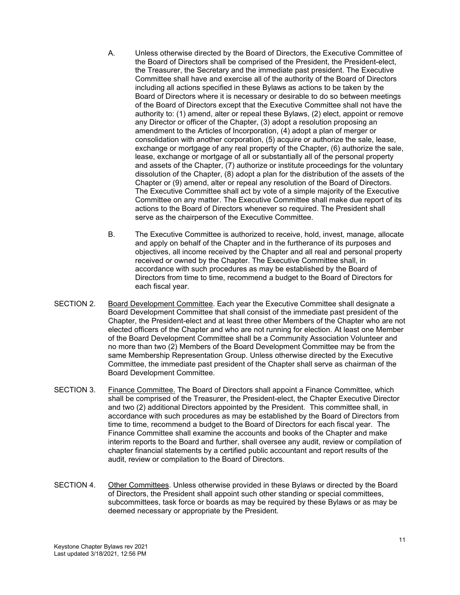- A. Unless otherwise directed by the Board of Directors, the Executive Committee of the Board of Directors shall be comprised of the President, the President-elect, the Treasurer, the Secretary and the immediate past president. The Executive Committee shall have and exercise all of the authority of the Board of Directors including all actions specified in these Bylaws as actions to be taken by the Board of Directors where it is necessary or desirable to do so between meetings of the Board of Directors except that the Executive Committee shall not have the authority to: (1) amend, alter or repeal these Bylaws, (2) elect, appoint or remove any Director or officer of the Chapter, (3) adopt a resolution proposing an amendment to the Articles of Incorporation, (4) adopt a plan of merger or consolidation with another corporation, (5) acquire or authorize the sale, lease, exchange or mortgage of any real property of the Chapter, (6) authorize the sale, lease, exchange or mortgage of all or substantially all of the personal property and assets of the Chapter, (7) authorize or institute proceedings for the voluntary dissolution of the Chapter, (8) adopt a plan for the distribution of the assets of the Chapter or (9) amend, alter or repeal any resolution of the Board of Directors. The Executive Committee shall act by vote of a simple majority of the Executive Committee on any matter. The Executive Committee shall make due report of its actions to the Board of Directors whenever so required. The President shall serve as the chairperson of the Executive Committee.
- B. The Executive Committee is authorized to receive, hold, invest, manage, allocate and apply on behalf of the Chapter and in the furtherance of its purposes and objectives, all income received by the Chapter and all real and personal property received or owned by the Chapter. The Executive Committee shall, in accordance with such procedures as may be established by the Board of Directors from time to time, recommend a budget to the Board of Directors for each fiscal year.
- SECTION 2. Board Development Committee. Each year the Executive Committee shall designate a Board Development Committee that shall consist of the immediate past president of the Chapter, the President-elect and at least three other Members of the Chapter who are not elected officers of the Chapter and who are not running for election. At least one Member of the Board Development Committee shall be a Community Association Volunteer and no more than two (2) Members of the Board Development Committee may be from the same Membership Representation Group. Unless otherwise directed by the Executive Committee, the immediate past president of the Chapter shall serve as chairman of the Board Development Committee.
- SECTION 3. Finance Committee. The Board of Directors shall appoint a Finance Committee, which shall be comprised of the Treasurer, the President-elect, the Chapter Executive Director and two (2) additional Directors appointed by the President. This committee shall, in accordance with such procedures as may be established by the Board of Directors from time to time, recommend a budget to the Board of Directors for each fiscal year. The Finance Committee shall examine the accounts and books of the Chapter and make interim reports to the Board and further, shall oversee any audit, review or compilation of chapter financial statements by a certified public accountant and report results of the audit, review or compilation to the Board of Directors.
- SECTION 4. Other Committees. Unless otherwise provided in these Bylaws or directed by the Board of Directors, the President shall appoint such other standing or special committees, subcommittees, task force or boards as may be required by these Bylaws or as may be deemed necessary or appropriate by the President.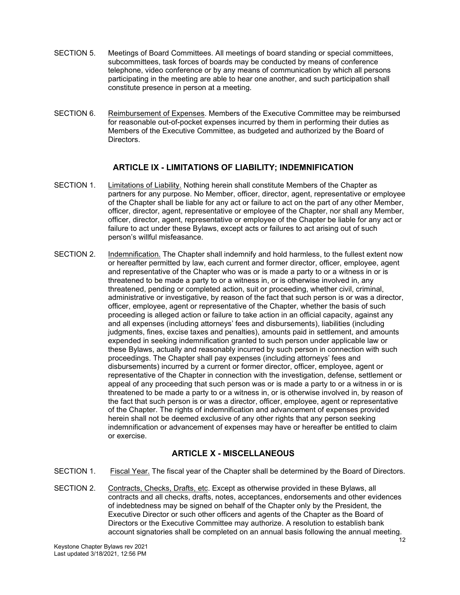- SECTION 5. Meetings of Board Committees. All meetings of board standing or special committees, subcommittees, task forces of boards may be conducted by means of conference telephone, video conference or by any means of communication by which all persons participating in the meeting are able to hear one another, and such participation shall constitute presence in person at a meeting.
- SECTION 6. Reimbursement of Expenses. Members of the Executive Committee may be reimbursed for reasonable out-of-pocket expenses incurred by them in performing their duties as Members of the Executive Committee, as budgeted and authorized by the Board of Directors.

# **ARTICLE IX - LIMITATIONS OF LIABILITY; INDEMNIFICATION**

- SECTION 1. Limitations of Liability. Nothing herein shall constitute Members of the Chapter as partners for any purpose. No Member, officer, director, agent, representative or employee of the Chapter shall be liable for any act or failure to act on the part of any other Member, officer, director, agent, representative or employee of the Chapter, nor shall any Member, officer, director, agent, representative or employee of the Chapter be liable for any act or failure to act under these Bylaws, except acts or failures to act arising out of such person's willful misfeasance.
- SECTION 2. Indemnification. The Chapter shall indemnify and hold harmless, to the fullest extent now or hereafter permitted by law, each current and former director, officer, employee, agent and representative of the Chapter who was or is made a party to or a witness in or is threatened to be made a party to or a witness in, or is otherwise involved in, any threatened, pending or completed action, suit or proceeding, whether civil, criminal, administrative or investigative, by reason of the fact that such person is or was a director, officer, employee, agent or representative of the Chapter, whether the basis of such proceeding is alleged action or failure to take action in an official capacity, against any and all expenses (including attorneys' fees and disbursements), liabilities (including judgments, fines, excise taxes and penalties), amounts paid in settlement, and amounts expended in seeking indemnification granted to such person under applicable law or these Bylaws, actually and reasonably incurred by such person in connection with such proceedings. The Chapter shall pay expenses (including attorneys' fees and disbursements) incurred by a current or former director, officer, employee, agent or representative of the Chapter in connection with the investigation, defense, settlement or appeal of any proceeding that such person was or is made a party to or a witness in or is threatened to be made a party to or a witness in, or is otherwise involved in, by reason of the fact that such person is or was a director, officer, employee, agent or representative of the Chapter. The rights of indemnification and advancement of expenses provided herein shall not be deemed exclusive of any other rights that any person seeking indemnification or advancement of expenses may have or hereafter be entitled to claim or exercise.

# **ARTICLE X - MISCELLANEOUS**

- SECTION 1. Fiscal Year. The fiscal year of the Chapter shall be determined by the Board of Directors.
- SECTION 2. Contracts, Checks, Drafts, etc. Except as otherwise provided in these Bylaws, all contracts and all checks, drafts, notes, acceptances, endorsements and other evidences of indebtedness may be signed on behalf of the Chapter only by the President, the Executive Director or such other officers and agents of the Chapter as the Board of Directors or the Executive Committee may authorize. A resolution to establish bank account signatories shall be completed on an annual basis following the annual meeting.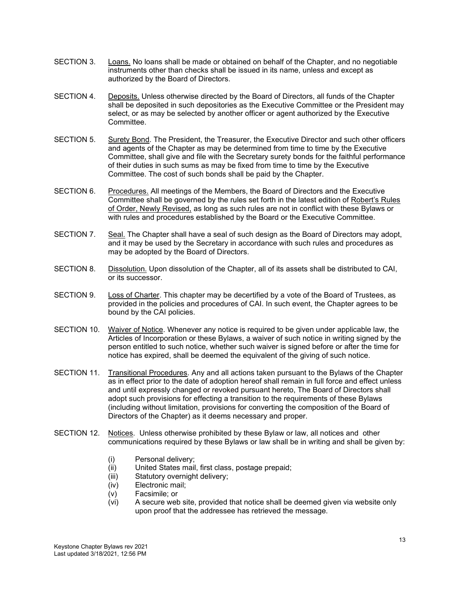- SECTION 3. Loans. No loans shall be made or obtained on behalf of the Chapter, and no negotiable instruments other than checks shall be issued in its name, unless and except as authorized by the Board of Directors.
- SECTION 4. Deposits. Unless otherwise directed by the Board of Directors, all funds of the Chapter shall be deposited in such depositories as the Executive Committee or the President may select, or as may be selected by another officer or agent authorized by the Executive **Committee**
- SECTION 5. Surety Bond. The President, the Treasurer, the Executive Director and such other officers and agents of the Chapter as may be determined from time to time by the Executive Committee, shall give and file with the Secretary surety bonds for the faithful performance of their duties in such sums as may be fixed from time to time by the Executive Committee. The cost of such bonds shall be paid by the Chapter.
- SECTION 6. Procedures. All meetings of the Members, the Board of Directors and the Executive Committee shall be governed by the rules set forth in the latest edition of Robert's Rules of Order, Newly Revised, as long as such rules are not in conflict with these Bylaws or with rules and procedures established by the Board or the Executive Committee.
- SECTION 7. Seal. The Chapter shall have a seal of such design as the Board of Directors may adopt, and it may be used by the Secretary in accordance with such rules and procedures as may be adopted by the Board of Directors.
- SECTION 8. Dissolution. Upon dissolution of the Chapter, all of its assets shall be distributed to CAI, or its successor.
- SECTION 9. Loss of Charter. This chapter may be decertified by a vote of the Board of Trustees, as provided in the policies and procedures of CAI. In such event, the Chapter agrees to be bound by the CAI policies.
- SECTION 10. Waiver of Notice. Whenever any notice is required to be given under applicable law, the Articles of Incorporation or these Bylaws, a waiver of such notice in writing signed by the person entitled to such notice, whether such waiver is signed before or after the time for notice has expired, shall be deemed the equivalent of the giving of such notice.
- SECTION 11. Transitional Procedures. Any and all actions taken pursuant to the Bylaws of the Chapter as in effect prior to the date of adoption hereof shall remain in full force and effect unless and until expressly changed or revoked pursuant hereto, The Board of Directors shall adopt such provisions for effecting a transition to the requirements of these Bylaws (including without limitation, provisions for converting the composition of the Board of Directors of the Chapter) as it deems necessary and proper.
- SECTION 12. Notices. Unless otherwise prohibited by these Bylaw or law, all notices and other communications required by these Bylaws or law shall be in writing and shall be given by:
	- (i) Personal delivery;
	- (ii) United States mail, first class, postage prepaid;
	- (iii) Statutory overnight delivery;
	- (iv) Electronic mail;
	- (v) Facsimile; or
	- (vi) A secure web site, provided that notice shall be deemed given via website only upon proof that the addressee has retrieved the message.